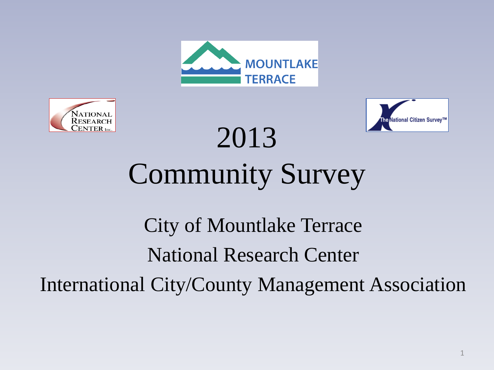





# 2013 Community Survey

# City of Mountlake Terrace National Research Center International City/County Management Association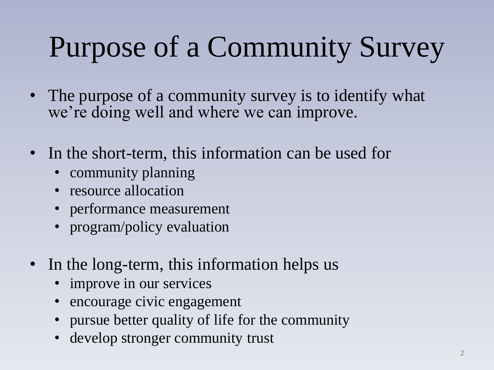# Purpose of a Community Survey

- The purpose of a community survey is to identify what we're doing well and where we can improve.
- In the short-term, this information can be used for
	- community planning
	- resource allocation
	- performance measurement
	- program/policy evaluation
- In the long-term, this information helps us
	- improve in our services
	- encourage civic engagement
	- pursue better quality of life for the community
	- develop stronger community trust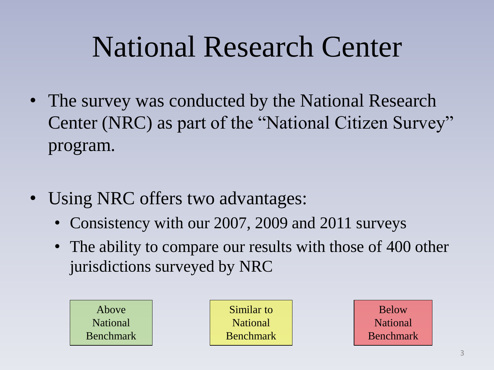# National Research Center

- The survey was conducted by the National Research Center (NRC) as part of the "National Citizen Survey" program.
- Using NRC offers two advantages:
	- Consistency with our 2007, 2009 and 2011 surveys
	- The ability to compare our results with those of 400 other jurisdictions surveyed by NRC

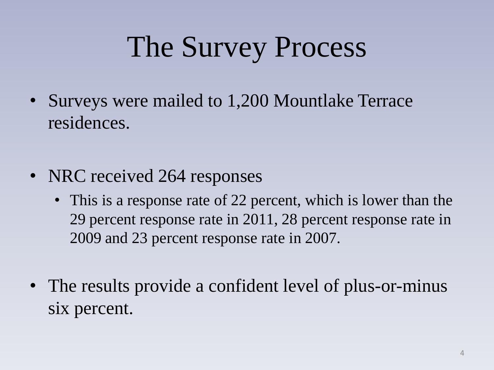# The Survey Process

- Surveys were mailed to 1,200 Mountlake Terrace residences.
- NRC received 264 responses
	- This is a response rate of 22 percent, which is lower than the 29 percent response rate in 2011, 28 percent response rate in 2009 and 23 percent response rate in 2007.
- The results provide a confident level of plus-or-minus six percent.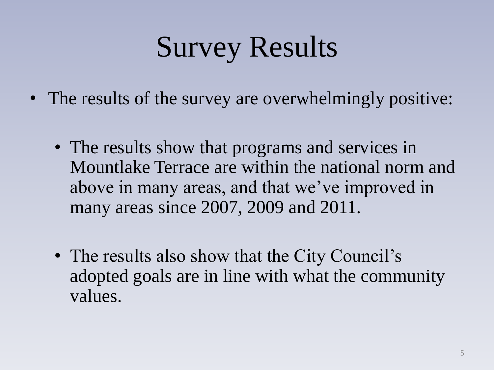# Survey Results

- The results of the survey are overwhelmingly positive:
	- The results show that programs and services in Mountlake Terrace are within the national norm and above in many areas, and that we've improved in many areas since 2007, 2009 and 2011.
	- The results also show that the City Council's adopted goals are in line with what the community values.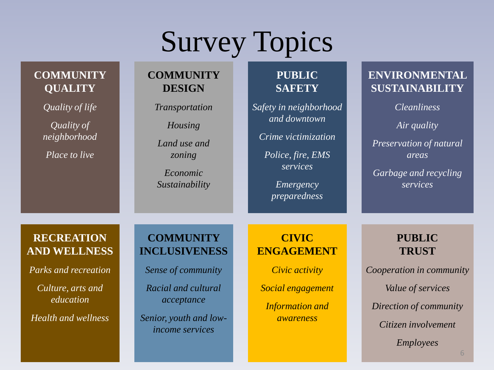# Survey Topics

**PUBLIC SAFETY**

**COMMUNITY DESIGN**

*income services*

### **COMMUNITY QUALITY**

| Quality of life<br>Quality of<br>neighborhood<br><i>Place to live</i> | <b>Transportation</b><br>Housing<br>Land use and<br>zoning<br>Economic<br>Sustainability | Safety in neighborhood<br>and downtown<br>Crime victimization<br>Police, fire, EMS<br>services<br>Emergency<br>preparedness | <i>Cleanliness</i><br>Air quality<br>Preservation of natural<br>areas<br>Garbage and recycling<br>services |
|-----------------------------------------------------------------------|------------------------------------------------------------------------------------------|-----------------------------------------------------------------------------------------------------------------------------|------------------------------------------------------------------------------------------------------------|
| <b>RECREATION</b><br><b>AND WELLNESS</b>                              | <b>COMMUNITY</b><br><b>INCLUSIVENESS</b>                                                 | <b>CIVIC</b><br><b>ENGAGEMENT</b>                                                                                           | <b>PUBLIC</b><br><b>TRUST</b>                                                                              |
| Parks and recreation                                                  | Sense of community                                                                       | Civic activity                                                                                                              | Cooperation in community                                                                                   |
| Culture, arts and<br>education                                        | Racial and cultural<br>acceptance                                                        | Social engagement<br><b>Information and</b>                                                                                 | Value of services<br>Direction of community                                                                |
| <b>Health and wellness</b>                                            | Senior, youth and low-<br>$\frac{1}{2}$                                                  | awareness                                                                                                                   | Citizen involvement                                                                                        |

*Employees*

**ENVIRONMENTAL SUSTAINABILITY**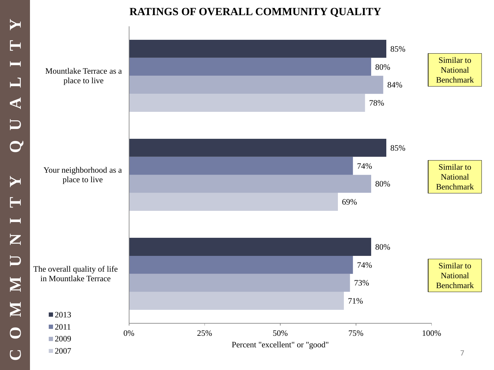## **RATINGS OF OVERALL COMMUNITY QUALITY**

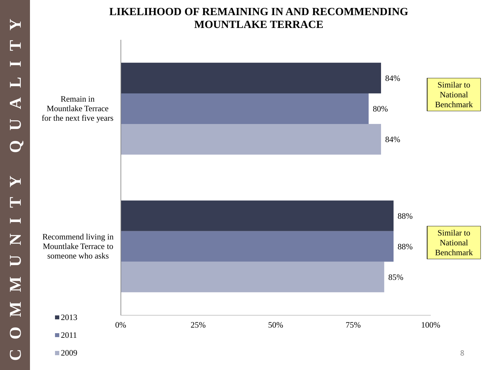### **LIKELIHOOD OF REMAINING IN AND RECOMMENDING MOUNTLAKE TERRACE**

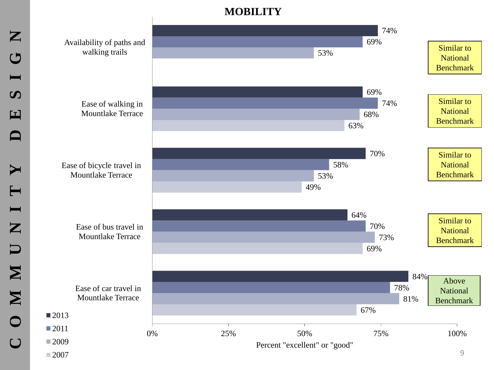### **MOBILITY**

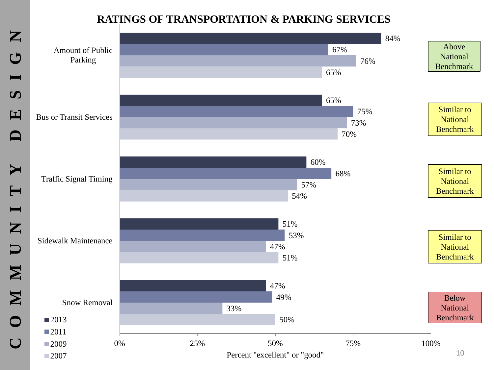### **RATINGS OF TRANSPORTATION & PARKING SERVICES**

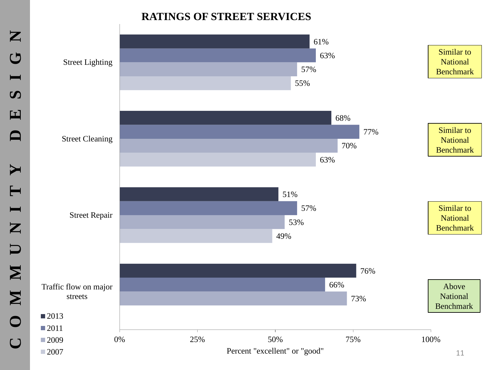#### **RATINGS OF STREET SERVICES**

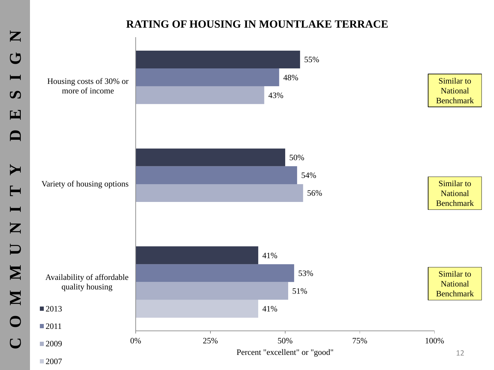### **RATING OF HOUSING IN MOUNTLAKE TERRACE**

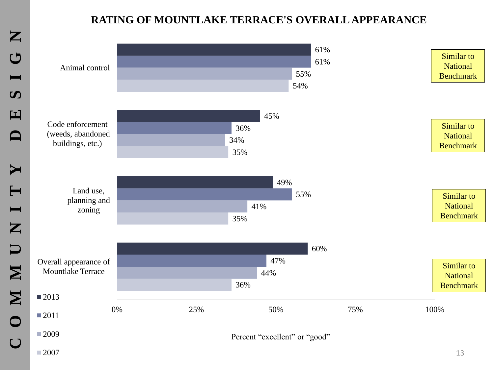### **RATING OF MOUNTLAKE TERRACE'S OVERALL APPEARANCE**

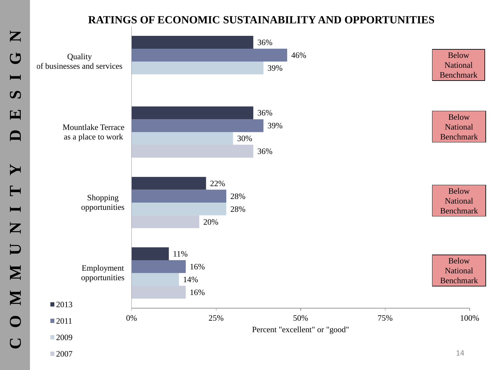## **RATINGS OF ECONOMIC SUSTAINABILITY AND OPPORTUNITIES**

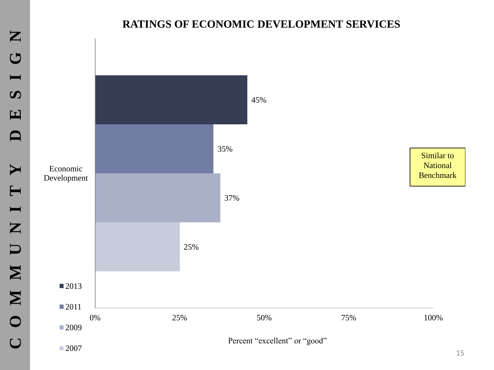#### **RATINGS OF ECONOMIC DEVELOPMENT SERVICES**

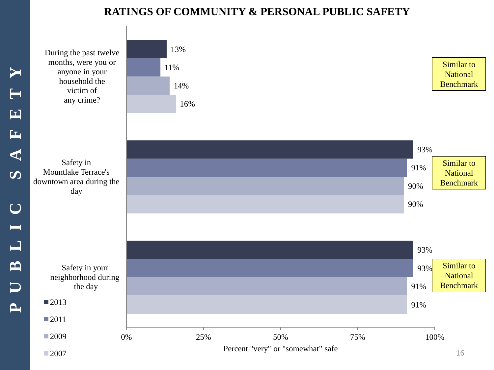#### **RATINGS OF COMMUNITY & PERSONAL PUBLIC SAFETY**

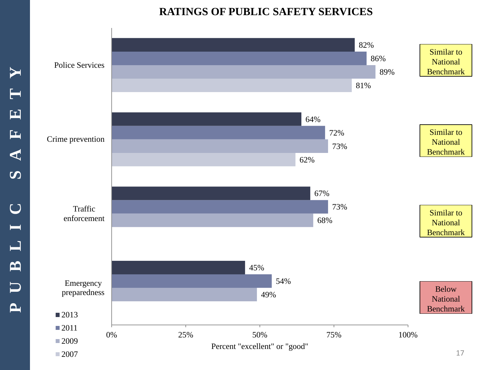#### **RATINGS OF PUBLIC SAFETY SERVICES**

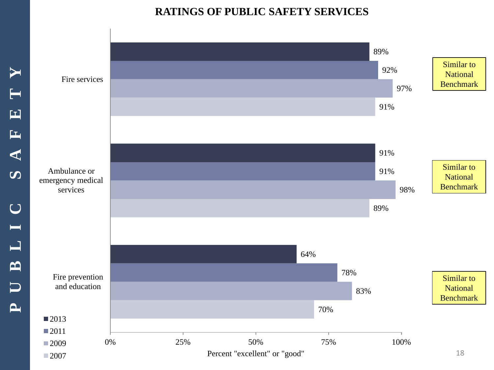#### **RATINGS OF PUBLIC SAFETY SERVICES**

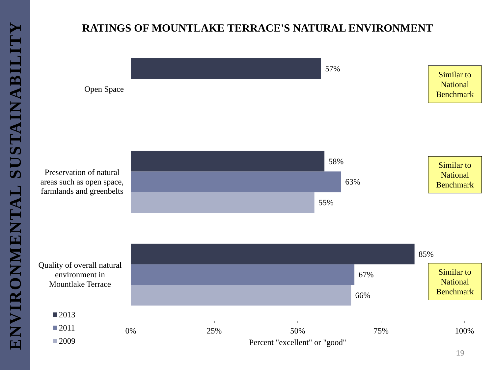### **RATINGS OF MOUNTLAKE TERRACE'S NATURAL ENVIRONMENT**

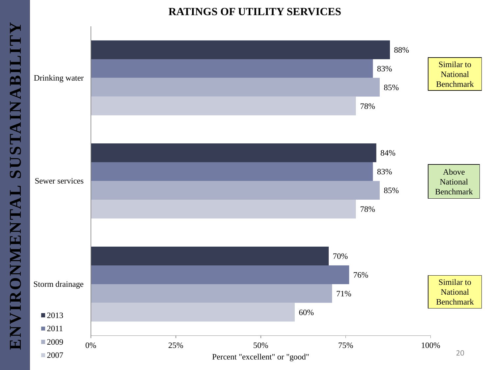#### **RATINGS OF UTILITY SERVICES**

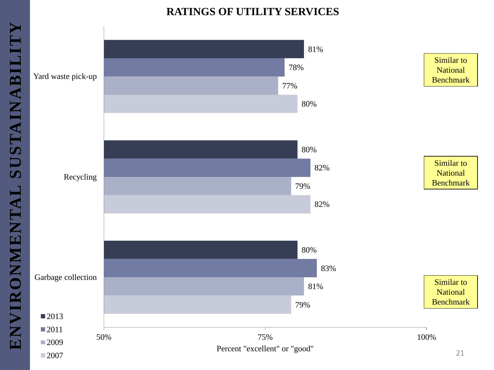#### **RATINGS OF UTILITY SERVICES**

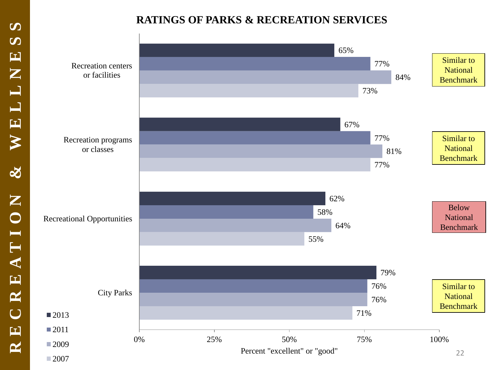### **RATINGS OF PARKS & RECREATION SERVICES**

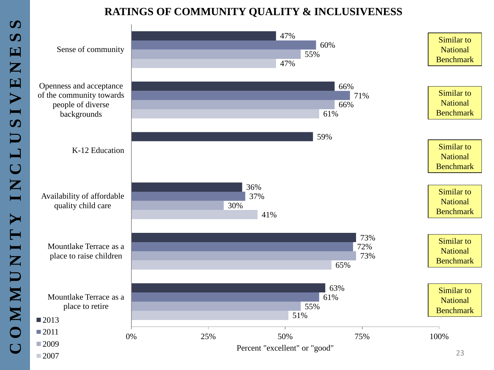# **RATINGS OF COMMUNITY QUALITY & INCLUSIVENESS**

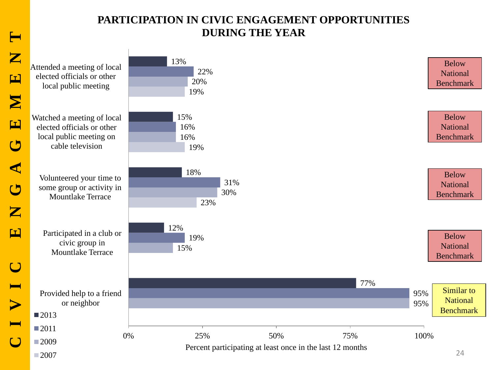#### **PARTICIPATION IN CIVIC ENGAGEMENT OPPORTUNITIES DURING THE YEAR**

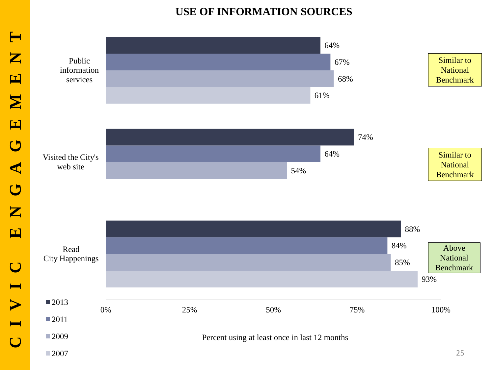### **USE OF INFORMATION SOURCES**

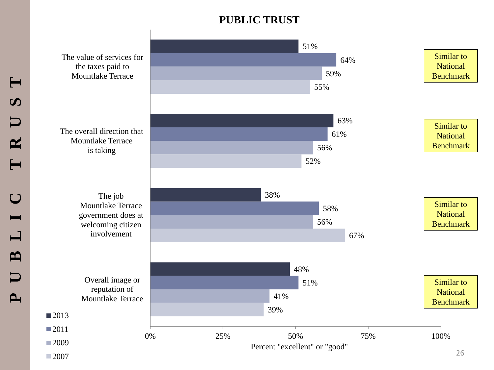### **PUBLIC TRUST**

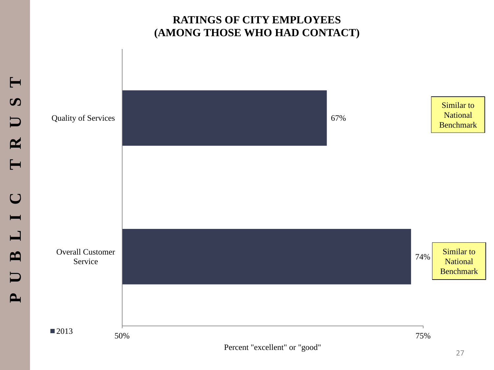#### **RATINGS OF CITY EMPLOYEES (AMONG THOSE WHO HAD CONTACT)**

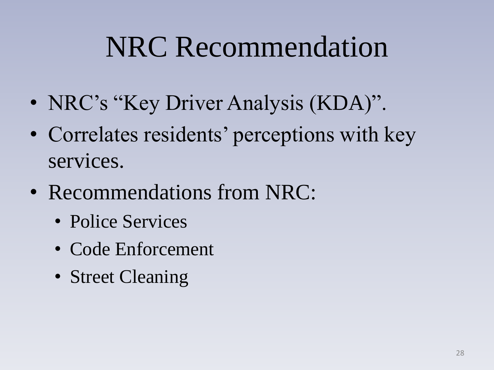# NRC Recommendation

- NRC's "Key Driver Analysis (KDA)".
- Correlates residents' perceptions with key services.
- Recommendations from NRC:
	- Police Services
	- Code Enforcement
	- Street Cleaning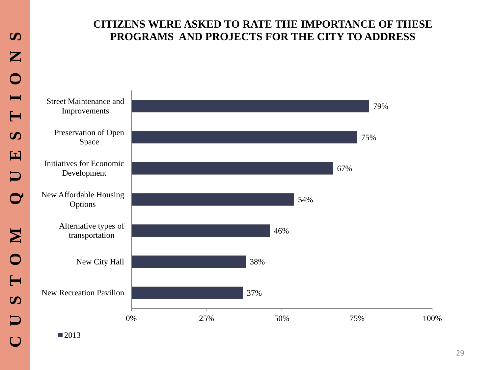#### **CITIZENS WERE ASKED TO RATE THE IMPORTANCE OF THESE PROGRAMS AND PROJECTS FOR THE CITY TO ADDRESS**

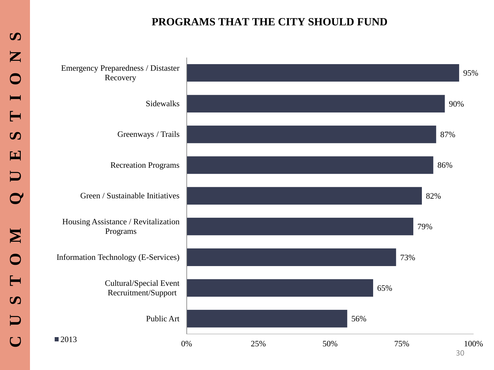#### **PROGRAMS THAT THE CITY SHOULD FUND**

Emergency Preparedness / Distaster Recovery



30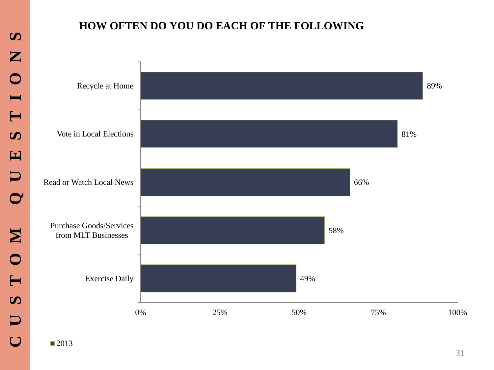#### **HOW OFTEN DO YOU DO EACH OF THE FOLLOWING**



■2013